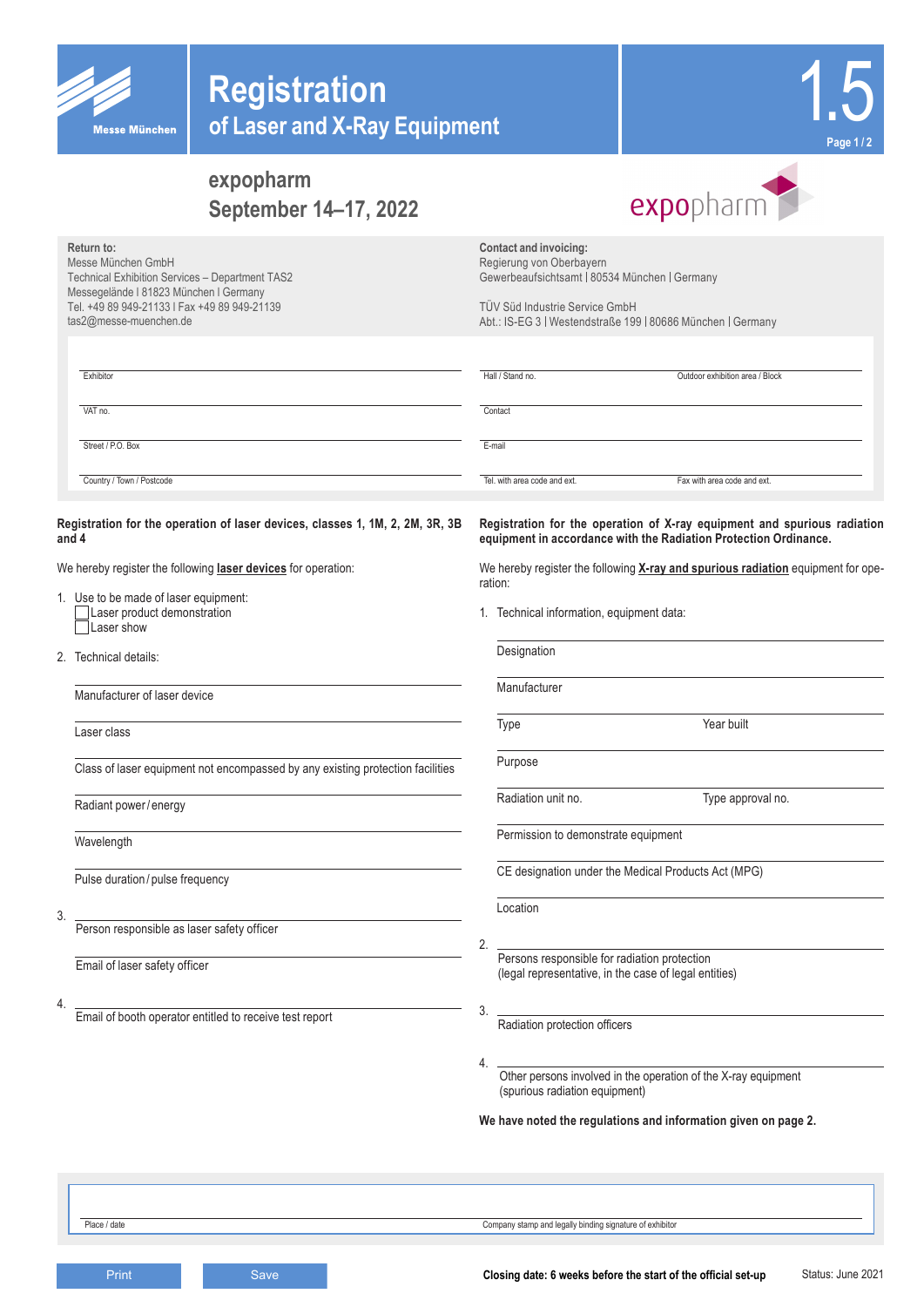

**Return to:**

Messe München GmbH

tas2@messe-muenchen.de

Technical Exhibition Services – Department TAS2 Messegelände l 81823 München l Germany Tel. +49 89 949-21133 l Fax +49 89 949-21139



# **expopharm September 14–17, 2022**



**Contact and invoicing:**  Regierung von Oberbayern Gewerbeaufsichtsamt | 80534 München | Germany

TÜV Süd Industrie Service GmbH Abt.: IS-EG 3 | Westendstraße 199 | 80686 München | Germany

| Exhibitor                 | Hall / Stand no.             | Outdoor exhibition area / Block |
|---------------------------|------------------------------|---------------------------------|
| VAT no.                   | Contact                      |                                 |
| Street / P.O. Box         | E-mail                       |                                 |
| Country / Town / Postcode | Tel, with area code and ext. | Fax with area code and ext.     |

### **Registration for the operation of laser devices, classes 1, 1M, 2, 2M, 3R, 3B and 4**

We hereby register the following **laser devices** for operation:

- 1. Use to be made of laser equipment: Laser product demonstration  $\equiv$ Laser show
- 2. Technical details:

Manufacturer of laser device

Laser class

Class of laser equipment not encompassed by any existing protection facilities

Radiant power/ energy

Wavelength

Pulse duration / pulse frequency

3.

Person responsible as laser safety officer

Email of laser safety officer

4.

Email of booth operator entitled to receive test report

**Registration for the operation of X-ray equipment and spurious radiation equipment in accordance with the Radiation Protection Ordinance.**

We hereby register the following **X-ray and spurious radiation** equipment for operation:

1. Technical information, equipment data:

| Type                                                                                                  | Year built                                                     |
|-------------------------------------------------------------------------------------------------------|----------------------------------------------------------------|
|                                                                                                       |                                                                |
| Purpose                                                                                               |                                                                |
| Radiation unit no.                                                                                    | Type approval no.                                              |
| Permission to demonstrate equipment                                                                   |                                                                |
|                                                                                                       | CE designation under the Medical Products Act (MPG)            |
| Location                                                                                              |                                                                |
|                                                                                                       |                                                                |
| Persons responsible for radiation protection<br>(legal representative, in the case of legal entities) |                                                                |
|                                                                                                       |                                                                |
| Radiation protection officers                                                                         |                                                                |
|                                                                                                       |                                                                |
| (spurious radiation equipment)                                                                        | Other persons involved in the operation of the X-ray equipment |

Place / date Company stamp and legally binding signature of exhibitor